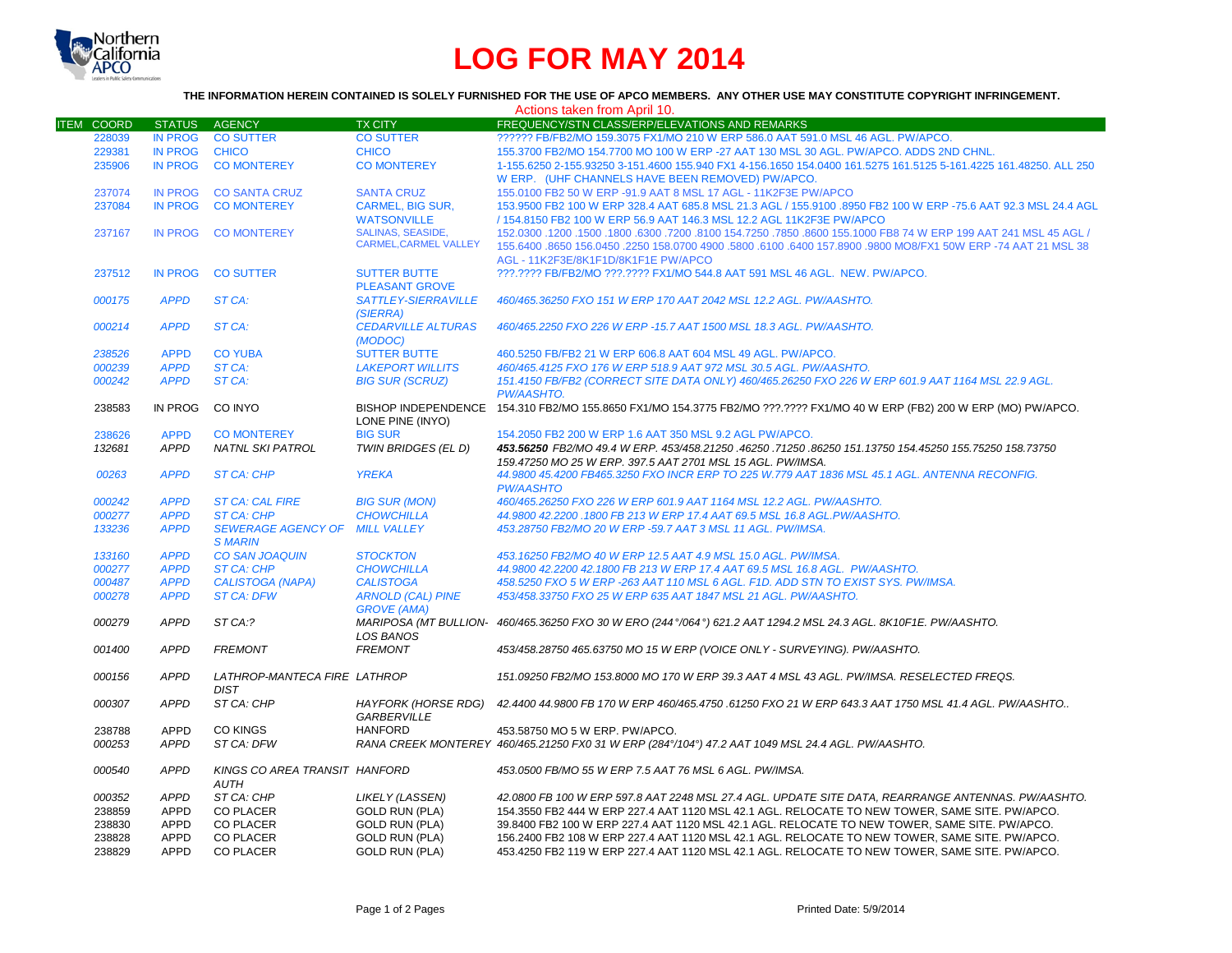

# **LOG FOR MAY 2014**

### **THE INFORMATION HEREIN CONTAINED IS SOLELY FURNISHED FOR THE USE OF APCO MEMBERS. ANY OTHER USE MAY CONSTITUTE COPYRIGHT INFRINGEMENT.**

| Actions taken from April 10. |                |                               |                              |                                                                                                                           |  |
|------------------------------|----------------|-------------------------------|------------------------------|---------------------------------------------------------------------------------------------------------------------------|--|
| <b>ITEM COORD</b>            | <b>STATUS</b>  | AGENCY                        | <b>TX CITY</b>               | FREQUENCY/STN CLASS/ERP/ELEVATIONS AND REMARKS                                                                            |  |
| 228039                       | <b>IN PROG</b> | <b>CO SUTTER</b>              | <b>CO SUTTER</b>             | ?????? FB/FB2/MO 159.3075 FX1/MO 210 W ERP 586.0 AAT 591.0 MSL 46 AGL, PW/APCO,                                           |  |
| 229381                       | <b>IN PROG</b> | <b>CHICO</b>                  | <b>CHICO</b>                 | 155.3700 FB2/MO 154.7700 MO 100 W ERP -27 AAT 130 MSL 30 AGL. PW/APCO, ADDS 2ND CHNL.                                     |  |
| 235906                       | <b>IN PROG</b> | <b>CO MONTEREY</b>            | <b>CO MONTEREY</b>           | 1-155.6250 2-155.93250 3-151.4600 155.940 FX1 4-156.1650 154.0400 161.5275 161.5125 5-161.4225 161.48250. ALL 250         |  |
|                              |                |                               |                              | W ERP. (UHF CHANNELS HAVE BEEN REMOVED) PW/APCO.                                                                          |  |
| 237074                       | <b>IN PROG</b> | <b>CO SANTA CRUZ</b>          | <b>SANTA CRUZ</b>            | 155.0100 FB2 50 W ERP -91.9 AAT 8 MSL 17 AGL - 11K2F3E PW/APCO                                                            |  |
| 237084                       | <b>IN PROG</b> | <b>CO MONTEREY</b>            | <b>CARMEL, BIG SUR,</b>      | 153.9500 FB2 100 W ERP 328.4 AAT 685.8 MSL 21.3 AGL / 155.9100 .8950 FB2 100 W ERP -75.6 AAT 92.3 MSL 24.4 AGL            |  |
|                              |                |                               | <b>WATSONVILLE</b>           | / 154.8150 FB2 100 W ERP 56.9 AAT 146.3 MSL 12.2 AGL 11K2F3E PW/APCO                                                      |  |
| 237167                       | <b>IN PROG</b> | <b>CO MONTEREY</b>            | <b>SALINAS, SEASIDE,</b>     | 150. 1800 1800 1800 1800 18100 154.7250 .7850 .8600 155.1000 FB8 74 W ERP 199 AAT 241 MSL 45 AGL /                        |  |
|                              |                |                               | <b>CARMEL, CARMEL VALLEY</b> | 155.6400 .8650 156.0450 .2250 158.0700 4900 .5800 .6100 .6400 157.8900 .9800 MO8/FX1 50W ERP -74 AAT 21 MSL 38            |  |
|                              |                |                               |                              | AGL - 11K2F3E/8K1F1D/8K1F1E PW/APCO                                                                                       |  |
| 237512                       | <b>IN PROG</b> | <b>CO SUTTER</b>              | <b>SUTTER BUTTE</b>          | ???.???? FB/FB2/MO ???.???? FX1/MO 544.8 AAT 591 MSL 46 AGL. NEW. PW/APCO.                                                |  |
|                              |                |                               | <b>PLEASANT GROVE</b>        |                                                                                                                           |  |
| 000175                       | <b>APPD</b>    | ST CA:                        | <b>SATTLEY-SIERRAVILLE</b>   | 460/465.36250 FXO 151 W ERP 170 AAT 2042 MSL 12.2 AGL, PW/AASHTO.                                                         |  |
|                              |                |                               | (SIERRA)                     |                                                                                                                           |  |
| 000214                       | <b>APPD</b>    | ST CA:                        | <b>CEDARVILLE ALTURAS</b>    | 460/465.2250 FXO 226 W ERP -15.7 AAT 1500 MSL 18.3 AGL, PW/AASHTO.                                                        |  |
|                              |                |                               | (MODOC)                      |                                                                                                                           |  |
| 238526                       | <b>APPD</b>    | <b>CO YUBA</b>                | <b>SUTTER BUTTE</b>          | 460.5250 FB/FB2 21 W ERP 606.8 AAT 604 MSL 49 AGL. PW/APCO.                                                               |  |
| 000239                       | <b>APPD</b>    | ST CA:                        | <b>LAKEPORT WILLITS</b>      | 460/465.4125 FXO 176 W ERP 518.9 AAT 972 MSL 30.5 AGL. PW/AASHTO.                                                         |  |
| 000242                       | <b>APPD</b>    | ST CA:                        | <b>BIG SUR (SCRUZ)</b>       | 151.4150 FB/FB2 (CORRECT SITE DATA ONLY) 460/465.26250 FXO 226 W ERP 601.9 AAT 1164 MSL 22.9 AGL.                         |  |
|                              |                |                               |                              | PW/AASHTO.                                                                                                                |  |
| 238583                       | IN PROG        | CO INYO                       |                              | BISHOP INDEPENDENCE 154.310 FB2/MO 155.8650 FX1/MO 154.3775 FB2/MO ???.???? FX1/MO 40 W ERP (FB2) 200 W ERP (MO) PW/APCO. |  |
|                              |                |                               | LONE PINE (INYO)             |                                                                                                                           |  |
| 238626                       | <b>APPD</b>    | <b>CO MONTEREY</b>            | <b>BIG SUR</b>               | 154, 2050 FB2 200 W ERP 1.6 AAT 350 MSL 9.2 AGL PW/APCO.                                                                  |  |
| 132681                       | <b>APPD</b>    | <b>NATNL SKI PATROL</b>       | TWIN BRIDGES (EL D)          | 453.56250 155.75250 158.73750 151.13750 154.45250 155.035250 154.45250 155.75250 158.73750                                |  |
|                              |                |                               |                              | 159.47250 MO 25 W ERP. 397.5 AAT 2701 MSL 15 AGL. PW/IMSA.                                                                |  |
| 00263                        | <b>APPD</b>    | <b>ST CA: CHP</b>             | <b>YREKA</b>                 | 44.9800 45.4200 FB465.3250 FXO INCR ERP TO 225 W.779 AAT 1836 MSL 45.1 AGL. ANTENNA RECONFIG.                             |  |
|                              |                |                               |                              | <b>PW/AASHTO</b>                                                                                                          |  |
| 000242                       | <b>APPD</b>    | <b>ST CA: CAL FIRE</b>        | <b>BIG SUR (MON)</b>         | 460/465.26250 FXO 226 W ERP 601.9 AAT 1164 MSL 12.2 AGL. PW/AASHTO.                                                       |  |
| 000277                       | <b>APPD</b>    | <b>ST CA: CHP</b>             | <b>CHOWCHILLA</b>            | 44.9800 42.2200 .1800 FB 213 W ERP 17.4 AAT 69.5 MSL 16.8 AGL.PW/AASHTO.                                                  |  |
| 133236                       | <b>APPD</b>    | <b>SEWERAGE AGENCY OF</b>     | <b>MILL VALLEY</b>           | 453.28750 FB2/MO 20 W ERP -59.7 AAT 3 MSL 11 AGL. PW/IMSA.                                                                |  |
|                              |                | <b>S MARIN</b>                |                              |                                                                                                                           |  |
| 133160                       | <b>APPD</b>    | <b>CO SAN JOAQUIN</b>         | <b>STOCKTON</b>              | 453.16250 FB2/MO 40 W ERP 12.5 AAT 4.9 MSL 15.0 AGL, PW/IMSA.                                                             |  |
| 000277                       | <b>APPD</b>    | <b>ST CA: CHP</b>             | <b>CHOWCHILLA</b>            | 44.9800 42.2200 42.1800 FB 213 W ERP 17.4 AAT 69.5 MSL 16.8 AGL. PW/AASHTO.                                               |  |
| 000487                       | <b>APPD</b>    | <b>CALISTOGA (NAPA)</b>       | <b>CALISTOGA</b>             | 458.5250 FXO 5 W ERP -263 AAT 110 MSL 6 AGL. F1D. ADD STN TO EXIST SYS. PW/IMSA.                                          |  |
| 000278                       | <b>APPD</b>    | <b>ST CA: DFW</b>             | <b>ARNOLD (CAL) PINE</b>     | 453/458.33750 FXO 25 W ERP 635 AAT 1847 MSL 21 AGL. PW/AASHTO.                                                            |  |
|                              |                |                               | <b>GROVE (AMA)</b>           |                                                                                                                           |  |
| 000279                       | <b>APPD</b>    | ST CA:?                       |                              | MARIPOSA (MT BULLION- 460/465.36250 FXO 30 W ERO (244°/064°) 621.2 AAT 1294.2 MSL 24.3 AGL. 8K10F1E. PW/AASHTO.           |  |
|                              |                |                               | LOS BANOS                    |                                                                                                                           |  |
| 001400                       | <b>APPD</b>    | <b>FREMONT</b>                | <b>FREMONT</b>               | 453/458.28750 465.63750 MO 15 W ERP (VOICE ONLY - SURVEYING). PW/AASHTO.                                                  |  |
|                              |                |                               |                              |                                                                                                                           |  |
| 000156                       | <b>APPD</b>    | LATHROP-MANTECA FIRE LATHROP  |                              | 151.09250 FB2/MO 153.8000 MO 170 W ERP 39.3 AAT 4 MSL 43 AGL. PW/IMSA. RESELECTED FREQS.                                  |  |
|                              |                | <b>DIST</b>                   |                              |                                                                                                                           |  |
| 000307                       | <b>APPD</b>    | ST CA: CHP                    |                              | HAYFORK (HORSE RDG) 42.4400 44.9800 FB 170 W ERP 460/465.4750 .61250 FXO 21 W ERP 643.3 AAT 1750 MSL 41.4 AGL. PW/AASHTO  |  |
|                              |                |                               | <b>GARBERVILLE</b>           |                                                                                                                           |  |
| 238788                       | APPD           | <b>CO KINGS</b>               | <b>HANFORD</b>               | 453.58750 MO 5 W ERP. PW/APCO.                                                                                            |  |
| 000253                       | <b>APPD</b>    | ST CA: DFW                    |                              | RANA CREEK MONTEREY 460/465.21250 FX0 31 W ERP (284°/104°) 47.2 AAT 1049 MSL 24.4 AGL. PW/AASHTO.                         |  |
|                              |                |                               |                              |                                                                                                                           |  |
| 000540                       | <b>APPD</b>    | KINGS CO AREA TRANSIT HANFORD |                              | 453.0500 FB/MO 55 W ERP 7.5 AAT 76 MSL 6 AGL. PW/IMSA.                                                                    |  |
|                              |                | <b>AUTH</b>                   |                              |                                                                                                                           |  |
| 000352                       | <b>APPD</b>    | ST CA: CHP                    | <b>LIKELY (LASSEN)</b>       | 42.0800 FB 100 W ERP 597.8 AAT 2248 MSL 27.4 AGL. UPDATE SITE DATA, REARRANGE ANTENNAS. PW/AASHTO.                        |  |
| 238859                       | APPD           | <b>CO PLACER</b>              | <b>GOLD RUN (PLA)</b>        | 154.3550 FB2 444 W ERP 227.4 AAT 1120 MSL 42.1 AGL. RELOCATE TO NEW TOWER, SAME SITE. PW/APCO.                            |  |
|                              | APPD           | <b>CO PLACER</b>              | <b>GOLD RUN (PLA)</b>        | 39.8400 FB2 100 W ERP 227.4 AAT 1120 MSL 42.1 AGL. RELOCATE TO NEW TOWER, SAME SITE. PW/APCO.                             |  |
| 238830                       |                |                               |                              |                                                                                                                           |  |
| 238828                       | <b>APPD</b>    | <b>CO PLACER</b>              | <b>GOLD RUN (PLA)</b>        | 156.2400 FB2 108 W ERP 227.4 AAT 1120 MSL 42.1 AGL. RELOCATE TO NEW TOWER, SAME SITE. PW/APCO.                            |  |
| 238829                       | <b>APPD</b>    | <b>CO PLACER</b>              | <b>GOLD RUN (PLA)</b>        | 453.4250 FB2 119 W ERP 227.4 AAT 1120 MSL 42.1 AGL. RELOCATE TO NEW TOWER, SAME SITE. PW/APCO.                            |  |